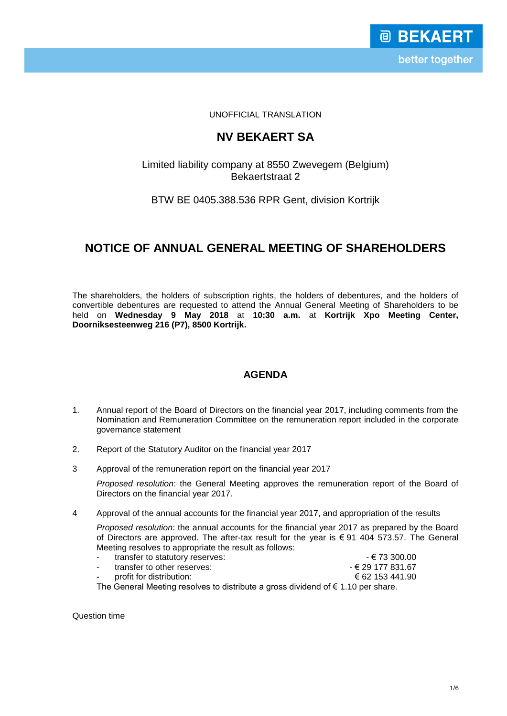UNOFFICIAL TRANSLATION

# **NV BEKAERT SA**

## Limited liability company at 8550 Zwevegem (Belgium) Bekaertstraat 2

## BTW BE 0405.388.536 RPR Gent, division Kortrijk

# **NOTICE OF ANNUAL GENERAL MEETING OF SHAREHOLDERS**

The shareholders, the holders of subscription rights, the holders of debentures, and the holders of convertible debentures are requested to attend the Annual General Meeting of Shareholders to be held on **Wednesday 9 May 2018** at **10:30 a.m.** at **Kortrijk Xpo Meeting Center, Doorniksesteenweg 216 (P7), 8500 Kortrijk.**

# **AGENDA**

- 1. Annual report of the Board of Directors on the financial year 2017, including comments from the Nomination and Remuneration Committee on the remuneration report included in the corporate governance statement
- 2. Report of the Statutory Auditor on the financial year 2017
- 3 Approval of the remuneration report on the financial year 2017

*Proposed resolution*: the General Meeting approves the remuneration report of the Board of Directors on the financial year 2017.

4 Approval of the annual accounts for the financial year 2017, and appropriation of the results

*Proposed resolution*: the annual accounts for the financial year 2017 as prepared by the Board of Directors are approved. The after-tax result for the year is € 91 404 573.57. The General Meeting resolves to appropriate the result as follows:

- transfer to statutory reserves:  $\epsilon$  73 300.00 transfer to other reserves:  $\begin{aligned} \epsilon \in \text{29 177 831.67} \\ \text{profit for distribution:} \end{aligned}$ 
	-

profit for distribution:

The General Meeting resolves to distribute a gross dividend of  $\epsilon$  1.10 per share.

Question time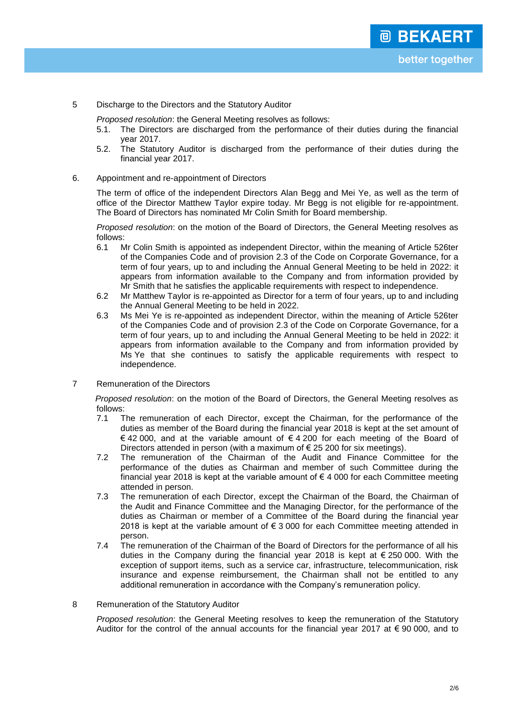5 Discharge to the Directors and the Statutory Auditor

*Proposed resolution*: the General Meeting resolves as follows:

- 5.1. The Directors are discharged from the performance of their duties during the financial year 2017.
- 5.2. The Statutory Auditor is discharged from the performance of their duties during the financial year 2017.
- 6. Appointment and re-appointment of Directors

The term of office of the independent Directors Alan Begg and Mei Ye, as well as the term of office of the Director Matthew Taylor expire today. Mr Begg is not eligible for re-appointment. The Board of Directors has nominated Mr Colin Smith for Board membership.

*Proposed resolution*: on the motion of the Board of Directors, the General Meeting resolves as follows:<br>6.1 N

- 6.1 Mr Colin Smith is appointed as independent Director, within the meaning of Article 526ter of the Companies Code and of provision 2.3 of the Code on Corporate Governance, for a term of four years, up to and including the Annual General Meeting to be held in 2022: it appears from information available to the Company and from information provided by Mr Smith that he satisfies the applicable requirements with respect to independence.
- 6.2 Mr Matthew Taylor is re-appointed as Director for a term of four years, up to and including the Annual General Meeting to be held in 2022.
- 6.3 Ms Mei Ye is re-appointed as independent Director, within the meaning of Article 526ter of the Companies Code and of provision 2.3 of the Code on Corporate Governance, for a term of four years, up to and including the Annual General Meeting to be held in 2022: it appears from information available to the Company and from information provided by Ms Ye that she continues to satisfy the applicable requirements with respect to independence.
- 7 Remuneration of the Directors

*Proposed resolution*: on the motion of the Board of Directors, the General Meeting resolves as follows:

- 7.1 The remuneration of each Director, except the Chairman, for the performance of the duties as member of the Board during the financial year 2018 is kept at the set amount of € 42 000, and at the variable amount of € 4 200 for each meeting of the Board of Directors attended in person (with a maximum of € 25 200 for six meetings).
- 7.2 The remuneration of the Chairman of the Audit and Finance Committee for the performance of the duties as Chairman and member of such Committee during the financial year 2018 is kept at the variable amount of  $\epsilon$  4 000 for each Committee meeting attended in person.
- 7.3 The remuneration of each Director, except the Chairman of the Board, the Chairman of the Audit and Finance Committee and the Managing Director, for the performance of the duties as Chairman or member of a Committee of the Board during the financial year 2018 is kept at the variable amount of  $\epsilon$  3 000 for each Committee meeting attended in person.
- 7.4 The remuneration of the Chairman of the Board of Directors for the performance of all his duties in the Company during the financial year 2018 is kept at  $\epsilon$  250 000. With the exception of support items, such as a service car, infrastructure, telecommunication, risk insurance and expense reimbursement, the Chairman shall not be entitled to any additional remuneration in accordance with the Company's remuneration policy.

### 8 Remuneration of the Statutory Auditor

*Proposed resolution*: the General Meeting resolves to keep the remuneration of the Statutory Auditor for the control of the annual accounts for the financial year 2017 at  $\epsilon$  90 000, and to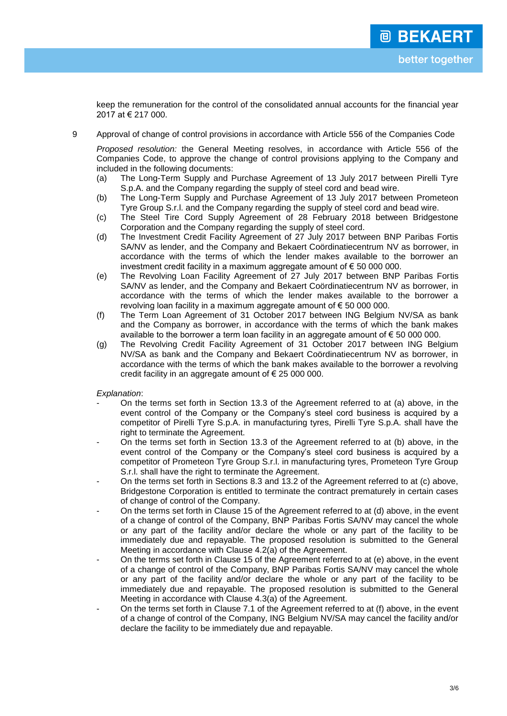keep the remuneration for the control of the consolidated annual accounts for the financial year 2017 at € 217 000.

9 Approval of change of control provisions in accordance with Article 556 of the Companies Code

*Proposed resolution:* the General Meeting resolves, in accordance with Article 556 of the Companies Code, to approve the change of control provisions applying to the Company and included in the following documents:

- (a) The Long-Term Supply and Purchase Agreement of 13 July 2017 between Pirelli Tyre S.p.A. and the Company regarding the supply of steel cord and bead wire.
- (b) The Long-Term Supply and Purchase Agreement of 13 July 2017 between Prometeon Tyre Group S.r.l. and the Company regarding the supply of steel cord and bead wire.
- (c) The Steel Tire Cord Supply Agreement of 28 February 2018 between Bridgestone Corporation and the Company regarding the supply of steel cord.
- (d) The Investment Credit Facility Agreement of 27 July 2017 between BNP Paribas Fortis SA/NV as lender, and the Company and Bekaert Coördinatiecentrum NV as borrower, in accordance with the terms of which the lender makes available to the borrower an investment credit facility in a maximum aggregate amount of € 50 000 000.
- (e) The Revolving Loan Facility Agreement of 27 July 2017 between BNP Paribas Fortis SA/NV as lender, and the Company and Bekaert Coördinatiecentrum NV as borrower, in accordance with the terms of which the lender makes available to the borrower a revolving loan facility in a maximum aggregate amount of  $\epsilon$  50 000 000.
- (f) The Term Loan Agreement of 31 October 2017 between ING Belgium NV/SA as bank and the Company as borrower, in accordance with the terms of which the bank makes available to the borrower a term loan facility in an aggregate amount of  $\epsilon$  50 000 000.
- (g) The Revolving Credit Facility Agreement of 31 October 2017 between ING Belgium NV/SA as bank and the Company and Bekaert Coördinatiecentrum NV as borrower, in accordance with the terms of which the bank makes available to the borrower a revolving credit facility in an aggregate amount of € 25 000 000.

*Explanation*:

- On the terms set forth in Section 13.3 of the Agreement referred to at (a) above, in the event control of the Company or the Company's steel cord business is acquired by a competitor of Pirelli Tyre S.p.A. in manufacturing tyres, Pirelli Tyre S.p.A. shall have the right to terminate the Agreement.
- On the terms set forth in Section 13.3 of the Agreement referred to at (b) above, in the event control of the Company or the Company's steel cord business is acquired by a competitor of Prometeon Tyre Group S.r.l. in manufacturing tyres, Prometeon Tyre Group S.r.l. shall have the right to terminate the Agreement.
- On the terms set forth in Sections 8.3 and 13.2 of the Agreement referred to at (c) above, Bridgestone Corporation is entitled to terminate the contract prematurely in certain cases of change of control of the Company.
- On the terms set forth in Clause 15 of the Agreement referred to at (d) above, in the event of a change of control of the Company, BNP Paribas Fortis SA/NV may cancel the whole or any part of the facility and/or declare the whole or any part of the facility to be immediately due and repayable. The proposed resolution is submitted to the General Meeting in accordance with Clause 4.2(a) of the Agreement.
- On the terms set forth in Clause 15 of the Agreement referred to at (e) above, in the event of a change of control of the Company, BNP Paribas Fortis SA/NV may cancel the whole or any part of the facility and/or declare the whole or any part of the facility to be immediately due and repayable. The proposed resolution is submitted to the General Meeting in accordance with Clause 4.3(a) of the Agreement.
- On the terms set forth in Clause 7.1 of the Agreement referred to at (f) above, in the event of a change of control of the Company, ING Belgium NV/SA may cancel the facility and/or declare the facility to be immediately due and repayable.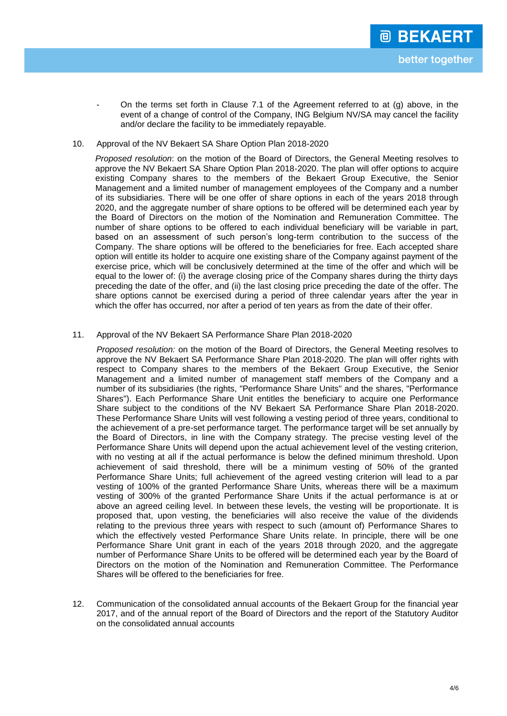On the terms set forth in Clause 7.1 of the Agreement referred to at  $(q)$  above, in the event of a change of control of the Company, ING Belgium NV/SA may cancel the facility and/or declare the facility to be immediately repayable.

## 10. Approval of the NV Bekaert SA Share Option Plan 2018-2020

*Proposed resolution*: on the motion of the Board of Directors, the General Meeting resolves to approve the NV Bekaert SA Share Option Plan 2018-2020. The plan will offer options to acquire existing Company shares to the members of the Bekaert Group Executive, the Senior Management and a limited number of management employees of the Company and a number of its subsidiaries. There will be one offer of share options in each of the years 2018 through 2020, and the aggregate number of share options to be offered will be determined each year by the Board of Directors on the motion of the Nomination and Remuneration Committee. The number of share options to be offered to each individual beneficiary will be variable in part, based on an assessment of such person's long-term contribution to the success of the Company. The share options will be offered to the beneficiaries for free. Each accepted share option will entitle its holder to acquire one existing share of the Company against payment of the exercise price, which will be conclusively determined at the time of the offer and which will be equal to the lower of: (i) the average closing price of the Company shares during the thirty days preceding the date of the offer, and (ii) the last closing price preceding the date of the offer. The share options cannot be exercised during a period of three calendar years after the year in which the offer has occurred, nor after a period of ten years as from the date of their offer.

## 11. Approval of the NV Bekaert SA Performance Share Plan 2018-2020

*Proposed resolution:* on the motion of the Board of Directors, the General Meeting resolves to approve the NV Bekaert SA Performance Share Plan 2018-2020. The plan will offer rights with respect to Company shares to the members of the Bekaert Group Executive, the Senior Management and a limited number of management staff members of the Company and a number of its subsidiaries (the rights, "Performance Share Units" and the shares, "Performance Shares"). Each Performance Share Unit entitles the beneficiary to acquire one Performance Share subject to the conditions of the NV Bekaert SA Performance Share Plan 2018-2020. These Performance Share Units will vest following a vesting period of three years, conditional to the achievement of a pre-set performance target. The performance target will be set annually by the Board of Directors, in line with the Company strategy. The precise vesting level of the Performance Share Units will depend upon the actual achievement level of the vesting criterion, with no vesting at all if the actual performance is below the defined minimum threshold. Upon achievement of said threshold, there will be a minimum vesting of 50% of the granted Performance Share Units; full achievement of the agreed vesting criterion will lead to a par vesting of 100% of the granted Performance Share Units, whereas there will be a maximum vesting of 300% of the granted Performance Share Units if the actual performance is at or above an agreed ceiling level. In between these levels, the vesting will be proportionate. It is proposed that, upon vesting, the beneficiaries will also receive the value of the dividends relating to the previous three years with respect to such (amount of) Performance Shares to which the effectively vested Performance Share Units relate. In principle, there will be one Performance Share Unit grant in each of the years 2018 through 2020, and the aggregate number of Performance Share Units to be offered will be determined each year by the Board of Directors on the motion of the Nomination and Remuneration Committee. The Performance Shares will be offered to the beneficiaries for free.

12. Communication of the consolidated annual accounts of the Bekaert Group for the financial year 2017, and of the annual report of the Board of Directors and the report of the Statutory Auditor on the consolidated annual accounts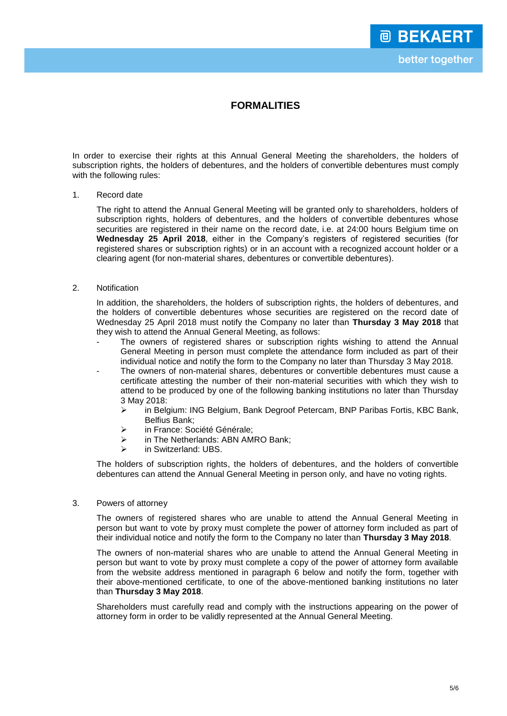# **FORMALITIES**

In order to exercise their rights at this Annual General Meeting the shareholders, the holders of subscription rights, the holders of debentures, and the holders of convertible debentures must comply with the following rules:

### 1. Record date

The right to attend the Annual General Meeting will be granted only to shareholders, holders of subscription rights, holders of debentures, and the holders of convertible debentures whose securities are registered in their name on the record date, i.e. at 24:00 hours Belgium time on **Wednesday 25 April 2018**, either in the Company's registers of registered securities (for registered shares or subscription rights) or in an account with a recognized account holder or a clearing agent (for non-material shares, debentures or convertible debentures).

## 2. Notification

In addition, the shareholders, the holders of subscription rights, the holders of debentures, and the holders of convertible debentures whose securities are registered on the record date of Wednesday 25 April 2018 must notify the Company no later than **Thursday 3 May 2018** that they wish to attend the Annual General Meeting, as follows:

- The owners of registered shares or subscription rights wishing to attend the Annual General Meeting in person must complete the attendance form included as part of their individual notice and notify the form to the Company no later than Thursday 3 May 2018.
- The owners of non-material shares, debentures or convertible debentures must cause a certificate attesting the number of their non-material securities with which they wish to attend to be produced by one of the following banking institutions no later than Thursday 3 May 2018:
	- in Belgium: ING Belgium, Bank Degroof Petercam, BNP Paribas Fortis, KBC Bank, Belfius Bank;
	- > in France: Société Générale:
	- > in The Netherlands: ABN AMRO Bank;
	- > in Switzerland: UBS.

The holders of subscription rights, the holders of debentures, and the holders of convertible debentures can attend the Annual General Meeting in person only, and have no voting rights.

### 3. Powers of attorney

The owners of registered shares who are unable to attend the Annual General Meeting in person but want to vote by proxy must complete the power of attorney form included as part of their individual notice and notify the form to the Company no later than **Thursday 3 May 2018**.

The owners of non-material shares who are unable to attend the Annual General Meeting in person but want to vote by proxy must complete a copy of the power of attorney form available from the website address mentioned in paragraph 6 below and notify the form, together with their above-mentioned certificate, to one of the above-mentioned banking institutions no later than **Thursday 3 May 2018**.

Shareholders must carefully read and comply with the instructions appearing on the power of attorney form in order to be validly represented at the Annual General Meeting.